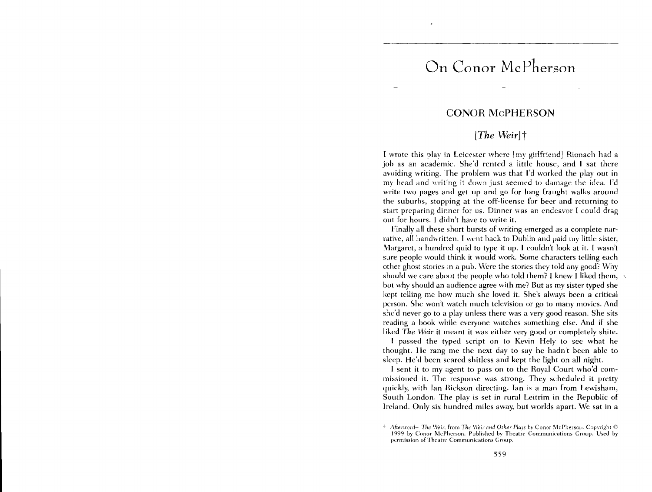## On Conor McPherson

## CONOR McPHERSON

## *[The Weir]t*

I wrote this play in Leicester where [my girlfriend] Rionach had a job as an academic. She'd rented a little house, and I sat there avoiding writing. The problem was that I'd worked the play out in my head and writing it down just seemed to damage the idea. I'd write two pages and get up and go for long fraught walks around the suburbs, stopping at the off-license for beer and returning to start preparing dinner for us. Dinner was an endeavor I could drag out for hours. I didn't have to write it.

Finally all these short bursts of writing emerged as a complete narrative, all handwritten. I went back to Dublin and paid my little sister, Margaret, a hundred quid to type it up. I couldn't look at it. I wasn't sure people would think it would work. Some characters telling each other ghost stories in a pub. Were the stories they told any good? Why should we care about the people who told them? I knew I liked them,  $\cdot$ but why should an audience agree with me? But as my sister typed she kept telling me how much she loved it. She's always been a critical person. She won't watch much television or go to many movies. And she'd never go to a play unless there was a very good reason. She sits reading a book while everyone watches something else. And if she liked *The Weir* it meant it was either very good or completely shire.

I passed the typed script on to Kevin Hely to sec what he thought. He rang me the next day to say he hadn't been able to sleep. He'd been scared shitless and kept the light on all night.

I sent it to my agent to pass on to the Royal Court who'd commissioned it. The response was strong. They scheduled it pretty quickly, with Ian Rickson directing. Ian is a man from Lewisham, South London. The play is set in rural Leitrim in the Republic of Ireland. Only six hundred miles away, but worlds apart. We sat in a

<sup>&</sup>lt;sup>+</sup> Afterword- The Weir, from The Weir and Other Plays by Conor McPherson. Copyright © 1999 by Conor McPherson. Published by Theatre Communications Group. Used by permission of Theatre Communications Group.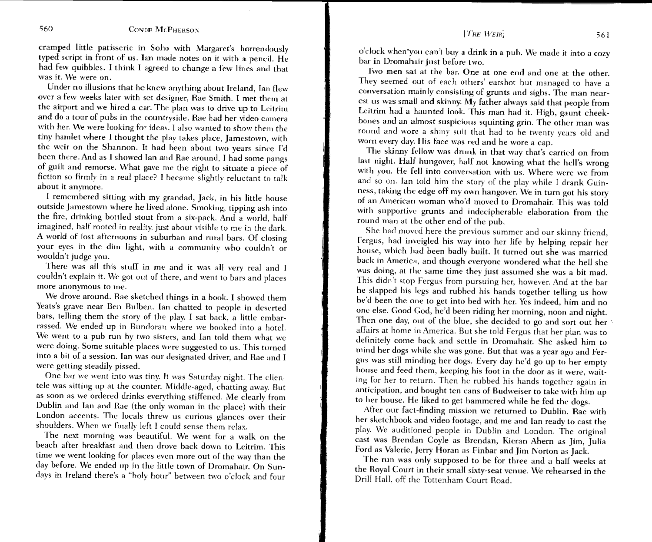cramped little patisserie in Soho with Margaret's horrendously typed script in front of us. Ian made notes on it with a pencil. He had few quibbles. I think I agreed to change a few lines and that was it. We were on.

Under no illusions that he knew anything about Ireland, Ian flew over a few weeks later with set designer, Rae Smith. I met them at the airport and we hired a car. The plan was to drive up to Leitrim and do a tour of pubs in the countryside. Rae had her video camera with her. We were looking for ideas. I also wanted to show them the tiny hamlet where I thought the play takes place, Jamestown, with the weir on the Shannon. It had been about two years since I'd been there. And as I showed Ian and Rae around, I had some pangs of guilt and remorse. What gave me the right to situate a piece of fiction so firmly in a real place? I became slightly reluctant to talk about it anymore.

I remembered sitting with my grandad, Jack, in his little house outside Jamestown where he lived alone. Smoking, tipping ash into the fire, drinking bottled stout from a six-pack. And a world, half imagined, half rooted in reality, just about visible to me in the dark. A world of lost afternoons in suburban and rural bars. Of closing your eyes in the dim light, with a community who couldn't or wouldn't judge you.

There was all this stuff in me and it was all very real and I couldn't explain it. \Ve got out of there, and went to bars and places more anonymous to me.

We drove around. Rae sketched things in a book. I showed them Yeats's grave near Ben Bulben. Ian chatted to people in deserted bars, telling them the story of the play. I sat back, a little embarrassed. \Ve ended up in Bundoran where we booked into a hotel. We went to a pub run by two sisters, and Ian told them what we were doing. Some suitable places were suggested to us. This turned into a bit of a session. Ian was our designated driver, and Rae and I were getting steadily pissed.

One bar we went into was tiny. It was Saturday night. The clientele was sitting up at the counter. Middle-aged, chatting away. But as soon as we ordered drinks everything stiffened. Me clearly from Dublin and Ian and Rae (the only woman in the place) with their London accents. The locals threw us curious glances over their shoulders. When we finally left I could sense them relax.

The next morning was' beautiful. We went for a walk on the beach after breakfast and then drove back down to Leitrim. This time we went looking for places even more out of the way than the day before. We ended up in the little town of Dromahair. On Sundays in Ireland there's a "holy hour" between two o'clock and four

o'clock when 'you can't buy a drink in a pub. We made it into a cozy bar in Dromahair just before two.

Two men sat at the bar. One at one end and one at the other. They seemed out of each others' earshot but managed to have a conversation mainly consisting of grunts and sighs. The man nearest us was small and skinny. My father always said that people from Leitrim had a haunted look. This man had it. High, gaunt cheekbones and an almost suspicious squinting grin. The other man was round and wore a shiny suit that had to be twenty years old and worn every day. His face was red and he wore a cap.

The skinny fellow was drunk in that way that's carried on from last night. Half hungover, half not knowing what the hell's wrong with you. He fell into conversation with us. Where were we from and so on. Ian told him the story of the play while I drank Guinness, taking the edge off my own hangover. We in turn got his story of an American woman who'd moved to Dromahair. This was told with supportive grunts and indecipherable elaboration from the round man at the other end of the pub.

She had moved here the previous summer and our skinny friend, Fergus, had inveigled his way into her life by helping repair her house, which had been badly built. It turned out she was married back in America, and though everyone wondered what the hell she was doing, at the same time they just assumed she was a bit mad. This didn't stop Fergus from pursuing her, however. And at the bar he slapped his legs and rubbed his hands together telling us how he'd been the one to get into bed with her. Yes indeed, him and no one else. Good God, he'd been riding her morning, noon and night. Then one day, out of the blue, she decided to go and sort out her affairs at home in America. But she told Fergus that her plan was to definitely come back and settle in Dromahair. She asked him to mind her dogs while she was gone. But that was a year ago and Fergus was still minding her dogs. Every day he'd go up to her empty house and feed them, keeping his foot in the door as it were, waiting for her to return. Then he rubbed his hands together again in anticipation, and bought ten cans of Budweiser to take with him up to her house. He liked to get hammered while he fed the dogs.

After our fact-finding mission we returned to Dublin. Rae with her sketchbook and video footage, and me and Ian ready to cast the play. We auditioned people in Dublin and London. The original cast was Brendan Coyle as Brendan, Kieran Ahern as Jim, Julia Ford as Valerie, Jerry Horan as Finbar and Jim Norton as Jack.

The run was only supposed to be for three and a half weeks at the Royal Court in their small sixty-seat venue. We rehearsed in the Drill Hall, off the Tottenham Court Road.